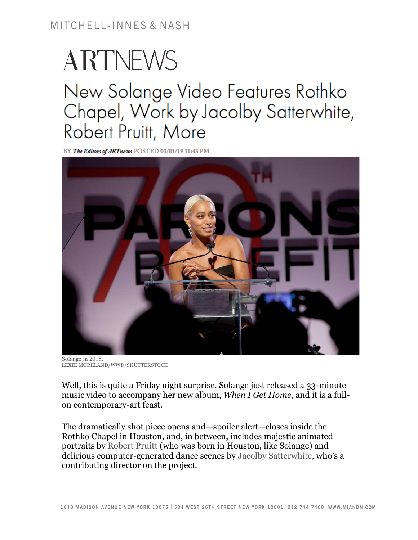## ARTNEWS New Solange Video Features Rothko Chapel, Work by Jacolby Satterwhite, Robert Pruitt, More

BY The Editors of ARTnews POSTED 03/01/19 11:43 PM



Solange in 2018. LEXIE MORELAND/WWD/SHUTTERSTOCK

Well, this is quite a Friday night surprise. Solange just released a 33-minute music video to accompany her new album, *When I Get Home*, and it is a fullon contemporary-art feast.

The dramatically shot piece opens and—spoiler alert—closes inside the Rothko Chapel in Houston, and, in between, includes majestic animated portraits by Robert Pruitt (who was born in Houston, like Solange) and delirious computer-generated dance scenes by Jacolby Satterwhite, who's a contributing director on the project.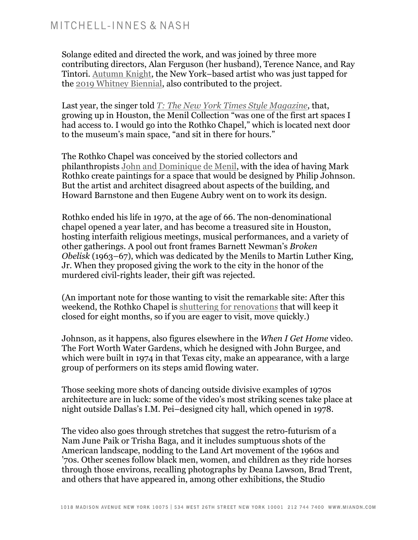Solange edited and directed the work, and was joined by three more contributing directors, Alan Ferguson (her husband), Terence Nance, and Ray Tintori. Autumn Knight, the New York–based artist who was just tapped for the 2019 Whitney Biennial, also contributed to the project.

Last year, the singer told *T: The New York Times Style Magazine*, that, growing up in Houston, the Menil Collection "was one of the first art spaces I had access to. I would go into the Rothko Chapel," which is located next door to the museum's main space, "and sit in there for hours."

The Rothko Chapel was conceived by the storied collectors and philanthropists John and Dominique de Menil, with the idea of having Mark Rothko create paintings for a space that would be designed by Philip Johnson. But the artist and architect disagreed about aspects of the building, and Howard Barnstone and then Eugene Aubry went on to work its design.

Rothko ended his life in 1970, at the age of 66. The non-denominational chapel opened a year later, and has become a treasured site in Houston, hosting interfaith religious meetings, musical performances, and a variety of other gatherings. A pool out front frames Barnett Newman's *Broken Obelisk* (1963–67), which was dedicated by the Menils to Martin Luther King, Jr. When they proposed giving the work to the city in the honor of the murdered civil-rights leader, their gift was rejected.

(An important note for those wanting to visit the remarkable site: After this weekend, the Rothko Chapel is shuttering for renovations that will keep it closed for eight months, so if you are eager to visit, move quickly.)

Johnson, as it happens, also figures elsewhere in the *When I Get Home* video. The Fort Worth Water Gardens, which he designed with John Burgee, and which were built in 1974 in that Texas city, make an appearance, with a large group of performers on its steps amid flowing water.

Those seeking more shots of dancing outside divisive examples of 1970s architecture are in luck: some of the video's most striking scenes take place at night outside Dallas's I.M. Pei–designed city hall, which opened in 1978.

The video also goes through stretches that suggest the retro-futurism of a Nam June Paik or Trisha Baga, and it includes sumptuous shots of the American landscape, nodding to the Land Art movement of the 1960s and '70s. Other scenes follow black men, women, and children as they ride horses through those environs, recalling photographs by Deana Lawson, Brad Trent, and others that have appeared in, among other exhibitions, the Studio